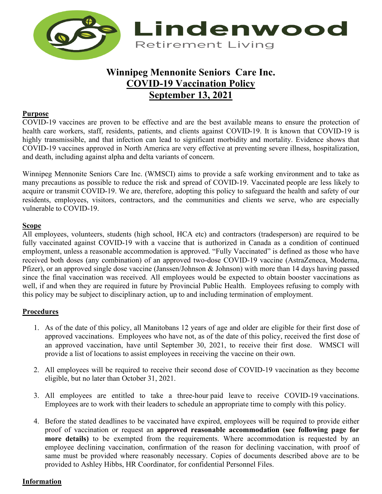

# **Winnipeg Mennonite Seniors Care Inc. COVID-19 Vaccination Policy September 13, 2021**

# **Purpose**

COVID-19 vaccines are proven to be effective and are the best available means to ensure the protection of health care workers, staff, residents, patients, and clients against COVID-19. It is known that COVID-19 is highly transmissible, and that infection can lead to significant morbidity and mortality. Evidence shows that COVID-19 vaccines approved in North America are very effective at preventing severe illness, hospitalization, and death, including against alpha and delta variants of concern.

Winnipeg Mennonite Seniors Care Inc. (WMSCI) aims to provide a safe working environment and to take as many precautions as possible to reduce the risk and spread of COVID-19. Vaccinated people are less likely to acquire or transmit COVID-19. We are, therefore, adopting this policy to safeguard the health and safety of our residents, employees, visitors, contractors, and the communities and clients we serve, who are especially vulnerable to COVID-19.

# **Scope**

All employees, volunteers, students (high school, HCA etc) and contractors (tradesperson) are required to be fully vaccinated against COVID-19 with a vaccine that is authorized in Canada as a condition of continued employment, unless a reasonable accommodation is approved. "Fully Vaccinated" is defined as those who have received both doses (any combination) of an approved two-dose COVID-19 vaccine (AstraZeneca, Moderna, Pfizer), or an approved single dose vaccine (Janssen/Johnson & Johnson) with more than 14 days having passed since the final vaccination was received. All employees would be expected to obtain booster vaccinations as well, if and when they are required in future by Provincial Public Health. Employees refusing to comply with this policy may be subject to disciplinary action, up to and including termination of employment.

#### **Procedures**

- 1. As of the date of this policy, all Manitobans 12 years of age and older are eligible for their first dose of approved vaccinations. Employees who have not, as of the date of this policy, received the first dose of an approved vaccination, have until September 30, 2021, to receive their first dose. WMSCI will provide a list of locations to assist employees in receiving the vaccine on their own.
- 2. All employees will be required to receive their second dose of COVID-19 vaccination as they become eligible, but no later than October 31, 2021.
- 3. All employees are entitled to take a three-hour paid leave to receive COVID-19 vaccinations. Employees are to work with their leaders to schedule an appropriate time to comply with this policy.
- 4. Before the stated deadlines to be vaccinated have expired, employees will be required to provide either proof of vaccination or request an **approved reasonable accommodation (see following page for more details)** to be exempted from the requirements. Where accommodation is requested by an employee declining vaccination, confirmation of the reason for declining vaccination, with proof of same must be provided where reasonably necessary. Copies of documents described above are to be provided to Ashley Hibbs, HR Coordinator, for confidential Personnel Files.

# **Information**